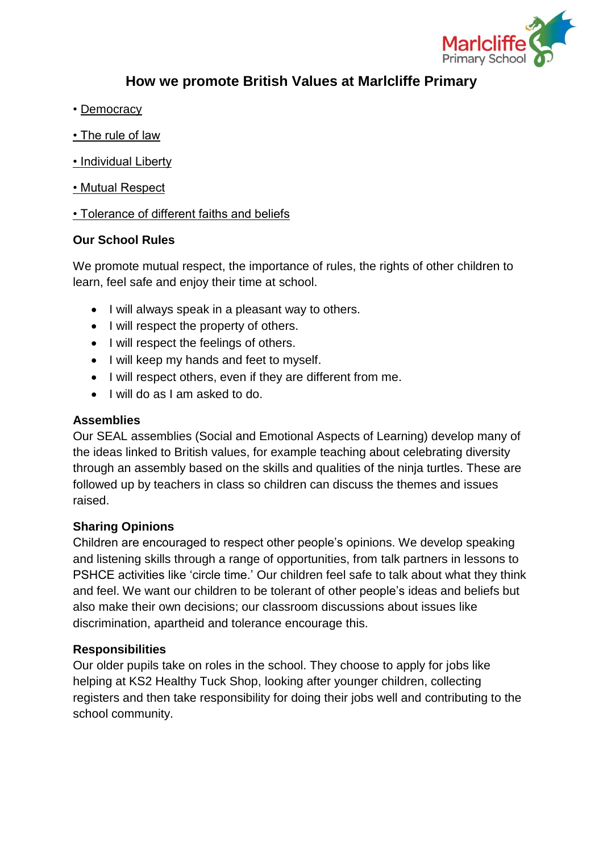

# **How we promote British Values at Marlcliffe Primary**

- Democracy
- The rule of law
- Individual Liberty
- Mutual Respect

## • Tolerance of different faiths and beliefs

## **Our School Rules**

We promote mutual respect, the importance of rules, the rights of other children to learn, feel safe and enjoy their time at school.

- I will always speak in a pleasant way to others.
- I will respect the property of others.
- I will respect the feelings of others.
- I will keep my hands and feet to myself.
- I will respect others, even if they are different from me.
- I will do as I am asked to do.

## **Assemblies**

Our SEAL assemblies (Social and Emotional Aspects of Learning) develop many of the ideas linked to British values, for example teaching about celebrating diversity through an assembly based on the skills and qualities of the ninja turtles. These are followed up by teachers in class so children can discuss the themes and issues raised.

## **Sharing Opinions**

Children are encouraged to respect other people's opinions. We develop speaking and listening skills through a range of opportunities, from talk partners in lessons to PSHCE activities like 'circle time.' Our children feel safe to talk about what they think and feel. We want our children to be tolerant of other people's ideas and beliefs but also make their own decisions; our classroom discussions about issues like discrimination, apartheid and tolerance encourage this.

## **Responsibilities**

Our older pupils take on roles in the school. They choose to apply for jobs like helping at KS2 Healthy Tuck Shop, looking after younger children, collecting registers and then take responsibility for doing their jobs well and contributing to the school community.